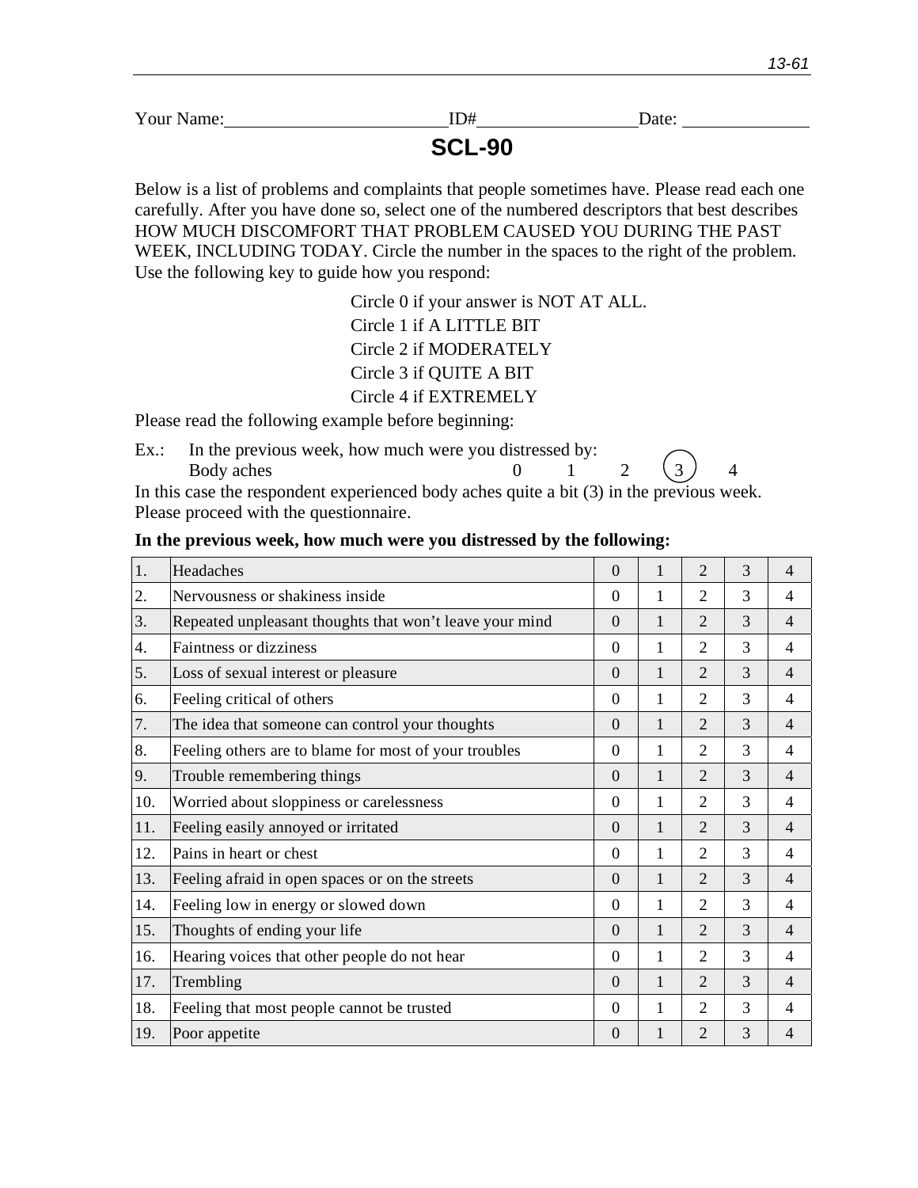ID# Date:

**SCL-90**

Below is a list of problems and complaints that people sometimes have. Please read each one carefully. After you have done so, select one of the numbered descriptors that best describes HOW MUCH DISCOMFORT THAT PROBLEM CAUSED YOU DURING THE PAST WEEK, INCLUDING TODAY. Circle the number in the spaces to the right of the problem. Use the following key to guide how you respond:

> Circle 0 if your answer is NOT AT ALL. Circle 1 if A LITTLE BIT Circle 2 if MODERATELY Circle 3 if QUITE A BIT Circle 4 if EXTREMELY

Please read the following example before beginning:

Ex.: In the previous week, how much were you distressed by: Body aches  $0 \t 1 \t 2 \t (3) \t 4$ In this case the respondent experienced body aches quite a bit  $(3)$  in the previous week.

Please proceed with the questionnaire.

| 1.  | Headaches                                               | $\boldsymbol{0}$ | 1 | $\overline{2}$ | 3 | 4              |
|-----|---------------------------------------------------------|------------------|---|----------------|---|----------------|
| 2.  | Nervousness or shakiness inside                         | $\Omega$         | 1 | $\overline{2}$ | 3 | 4              |
| 3.  | Repeated unpleasant thoughts that won't leave your mind | $\Omega$         | 1 | $\overline{2}$ | 3 | $\overline{4}$ |
| 4.  | <b>Faintness or dizziness</b>                           | $\overline{0}$   | 1 | $\overline{2}$ | 3 | 4              |
| 5.  | Loss of sexual interest or pleasure                     | $\overline{0}$   | 1 | $\overline{2}$ | 3 | $\overline{4}$ |
| 6.  | Feeling critical of others                              | $\Omega$         | 1 | $\overline{2}$ | 3 | 4              |
| 7.  | The idea that someone can control your thoughts         | $\Omega$         | 1 | $\overline{2}$ | 3 | $\overline{4}$ |
| 8.  | Feeling others are to blame for most of your troubles   | $\Omega$         | 1 | $\overline{2}$ | 3 | 4              |
| 9.  | Trouble remembering things                              | $\Omega$         | 1 | $\overline{2}$ | 3 | $\overline{4}$ |
| 10. | Worried about sloppiness or carelessness                | $\Omega$         | 1 | $\overline{2}$ | 3 | 4              |
| 11. | Feeling easily annoyed or irritated                     | $\Omega$         | 1 | $\overline{2}$ | 3 | 4              |
| 12. | Pains in heart or chest                                 | $\Omega$         | 1 | $\overline{2}$ | 3 | 4              |
| 13. | Feeling afraid in open spaces or on the streets         | $\boldsymbol{0}$ | 1 | $\overline{2}$ | 3 | 4              |
| 14. | Feeling low in energy or slowed down                    | $\boldsymbol{0}$ | 1 | $\overline{2}$ | 3 | 4              |
| 15. | Thoughts of ending your life                            | $\overline{0}$   | 1 | $\overline{2}$ | 3 | 4              |
| 16. | Hearing voices that other people do not hear            | $\Omega$         | 1 | $\overline{2}$ | 3 | 4              |
| 17. | Trembling                                               | $\Omega$         | 1 | $\overline{2}$ | 3 | $\overline{4}$ |
| 18. | Feeling that most people cannot be trusted              | $\Omega$         | 1 | $\overline{2}$ | 3 | 4              |
| 19. | Poor appetite                                           | $\Omega$         | 1 | $\overline{2}$ | 3 | 4              |

**In the previous week, how much were you distressed by the following:**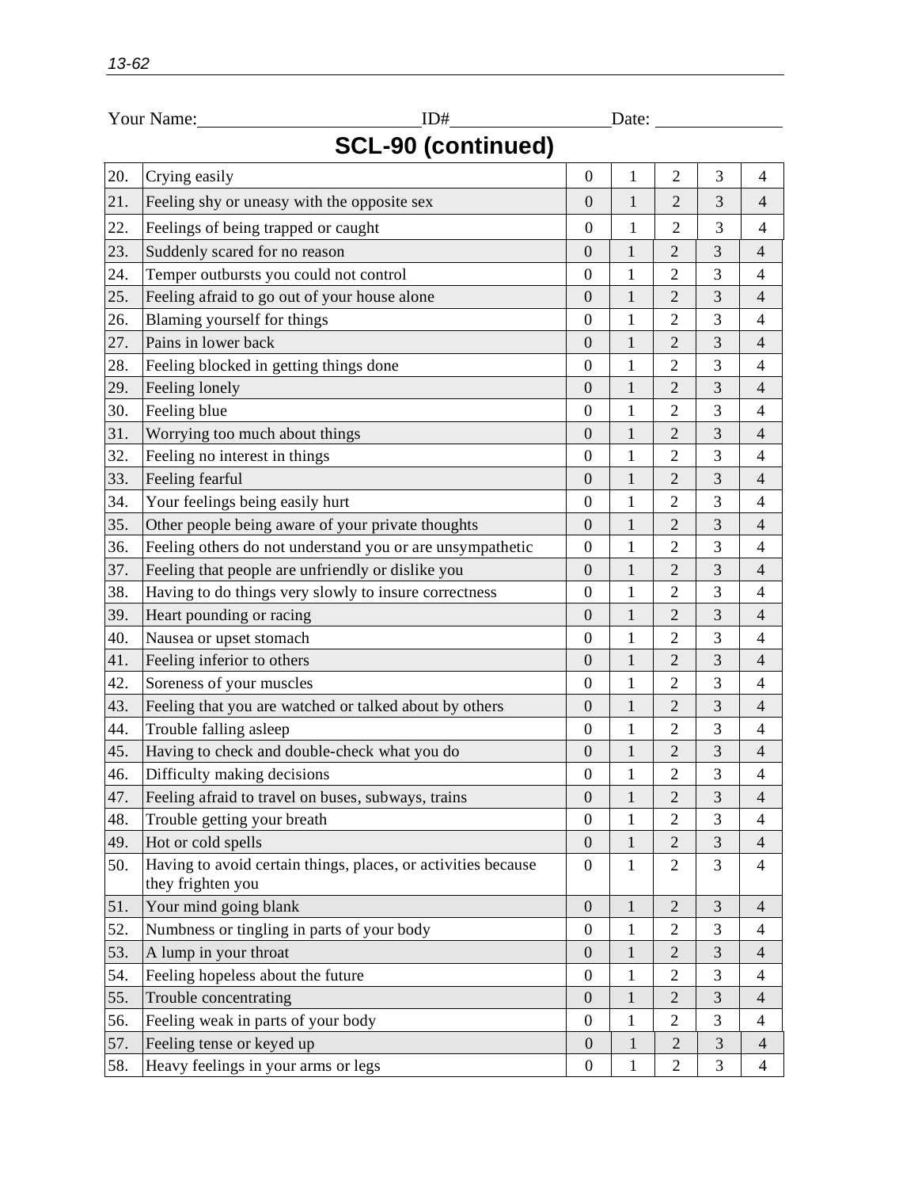|                           | Your Name:<br>ID#                                                                  |                  | Date:        |                |                |                |  |
|---------------------------|------------------------------------------------------------------------------------|------------------|--------------|----------------|----------------|----------------|--|
| <b>SCL-90 (continued)</b> |                                                                                    |                  |              |                |                |                |  |
| 20.                       | Crying easily                                                                      | $\mathbf{0}$     | 1            | $\overline{2}$ | 3              | $\overline{4}$ |  |
| 21.                       | Feeling shy or uneasy with the opposite sex                                        | $\boldsymbol{0}$ | $\mathbf{1}$ | $\overline{2}$ | 3              | $\overline{4}$ |  |
| 22.                       | Feelings of being trapped or caught                                                | $\overline{0}$   | 1            | $\mathbf{2}$   | 3              | $\overline{4}$ |  |
| 23.                       | Suddenly scared for no reason                                                      | $\mathbf{0}$     | 1            | 2              | 3              | $\overline{4}$ |  |
| 24.                       | Temper outbursts you could not control                                             | $\boldsymbol{0}$ | $\mathbf{1}$ | 2              | 3              | $\overline{4}$ |  |
| 25.                       | Feeling afraid to go out of your house alone                                       | $\mathbf{0}$     | $\mathbf{1}$ | 2              | 3              | 4              |  |
| 26.                       | Blaming yourself for things                                                        | $\boldsymbol{0}$ | $\mathbf{1}$ | 2              | 3              | 4              |  |
| 27.                       | Pains in lower back                                                                | $\boldsymbol{0}$ | $\mathbf{1}$ | $\overline{2}$ | 3              | $\overline{4}$ |  |
| 28.                       | Feeling blocked in getting things done                                             | $\boldsymbol{0}$ | $\mathbf{1}$ | $\overline{2}$ | 3              | $\overline{4}$ |  |
| 29.                       | Feeling lonely                                                                     | $\overline{0}$   | $\mathbf{1}$ | $\overline{2}$ | 3              | $\overline{4}$ |  |
| 30.                       | Feeling blue                                                                       | $\overline{0}$   | 1            | $\overline{2}$ | 3              | $\overline{4}$ |  |
| 31.                       | Worrying too much about things                                                     | $\overline{0}$   | $\mathbf{1}$ | $\overline{2}$ | 3              | $\overline{4}$ |  |
| 32.                       | Feeling no interest in things                                                      | $\overline{0}$   | 1            | 2              | 3              | 4              |  |
| 33.                       | Feeling fearful                                                                    | $\theta$         | $\mathbf{1}$ | 2              | 3              | 4              |  |
| 34.                       | Your feelings being easily hurt                                                    | $\mathbf{0}$     | $\mathbf{1}$ | 2              | 3              | $\overline{4}$ |  |
| 35.                       | Other people being aware of your private thoughts                                  | $\boldsymbol{0}$ | $\mathbf{1}$ | 2              | 3              | $\overline{4}$ |  |
| 36.                       | Feeling others do not understand you or are unsympathetic                          | $\boldsymbol{0}$ | $\mathbf{1}$ | 2              | 3              | $\overline{4}$ |  |
| 37.                       | Feeling that people are unfriendly or dislike you                                  | $\boldsymbol{0}$ | 1            | 2              | 3              | 4              |  |
| 38.                       | Having to do things very slowly to insure correctness                              | $\boldsymbol{0}$ | $\mathbf{1}$ | 2              | 3              | $\overline{4}$ |  |
| 39.                       | Heart pounding or racing                                                           | $\boldsymbol{0}$ | $\mathbf{1}$ | $\mathfrak{2}$ | 3              | $\overline{4}$ |  |
| 40.                       | Nausea or upset stomach                                                            | $\mathbf{0}$     | $\mathbf{1}$ | $\overline{c}$ | 3              | $\overline{4}$ |  |
| 41.                       | Feeling inferior to others                                                         | $\boldsymbol{0}$ | $\mathbf{1}$ | 2              | $\mathfrak{Z}$ | $\overline{4}$ |  |
| 42.                       | Soreness of your muscles                                                           | $\boldsymbol{0}$ | $\mathbf{1}$ | 2              | 3              | $\overline{4}$ |  |
| 43.                       | Feeling that you are watched or talked about by others                             | $\boldsymbol{0}$ | $\mathbf{1}$ | $\mathbf{2}$   | 3              | $\overline{4}$ |  |
| 44.                       | Trouble falling asleep                                                             | $\mathbf{0}$     | $\mathbf{1}$ | 2              | 3              | $\overline{4}$ |  |
| 45.                       | Having to check and double-check what you do                                       | $\boldsymbol{0}$ | $\mathbf{1}$ | $\mathfrak{2}$ | $\mathfrak{Z}$ | 4              |  |
| 46.                       | Difficulty making decisions                                                        | $\mathbf{0}$     | $\mathbf{1}$ | $\overline{c}$ | 3              | $\overline{4}$ |  |
| 47.                       | Feeling afraid to travel on buses, subways, trains                                 | $\boldsymbol{0}$ | $\mathbf{1}$ | $\overline{2}$ | 3              | $\overline{4}$ |  |
| 48.                       | Trouble getting your breath                                                        | $\boldsymbol{0}$ | $\mathbf{1}$ | $\overline{c}$ | 3              | $\overline{4}$ |  |
| 49.                       | Hot or cold spells                                                                 | $\mathbf{0}$     | $\mathbf{1}$ | $\overline{2}$ | $\mathfrak{Z}$ | $\overline{4}$ |  |
| 50.                       | Having to avoid certain things, places, or activities because<br>they frighten you | $\mathbf{0}$     | $\mathbf{1}$ | $\overline{2}$ | 3              | $\overline{4}$ |  |
| 51.                       | Your mind going blank                                                              | $\mathbf{0}$     | $\mathbf{1}$ | $\overline{2}$ | 3              | $\overline{4}$ |  |
| 52.                       | Numbness or tingling in parts of your body                                         | $\boldsymbol{0}$ | $\mathbf{1}$ | $\overline{c}$ | $\mathfrak{Z}$ | $\overline{4}$ |  |
| 53.                       | A lump in your throat                                                              | $\boldsymbol{0}$ | $\mathbf{1}$ | $\mathbf{2}$   | 3              | $\overline{4}$ |  |
| 54.                       | Feeling hopeless about the future                                                  | $\boldsymbol{0}$ | $\mathbf{1}$ | $\overline{c}$ | $\mathfrak{Z}$ | 4              |  |
| 55.                       | Trouble concentrating                                                              | $\boldsymbol{0}$ | $\mathbf{1}$ | $\overline{2}$ | 3              | $\overline{4}$ |  |
| 56.                       | Feeling weak in parts of your body                                                 | $\boldsymbol{0}$ | $\mathbf{1}$ | 2              | 3              | $\overline{4}$ |  |
| 57.                       | Feeling tense or keyed up                                                          | $\boldsymbol{0}$ | $\mathbf{1}$ | $\overline{2}$ | 3              | $\overline{4}$ |  |
| 58.                       | Heavy feelings in your arms or legs                                                | $\boldsymbol{0}$ | $\mathbf{1}$ | $\overline{2}$ | 3              | $\overline{4}$ |  |